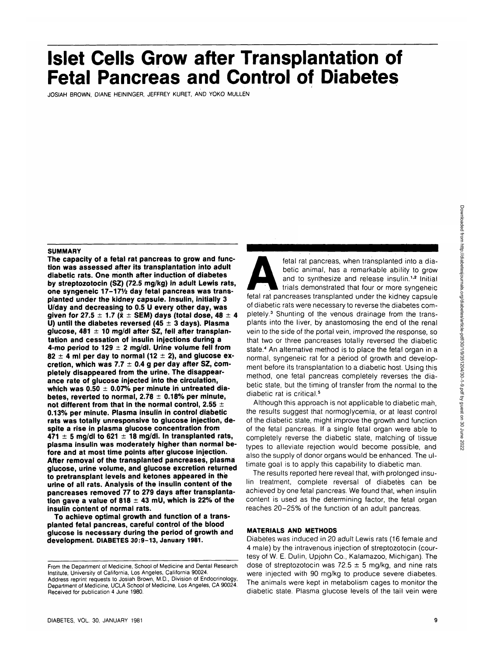# **Islet Cells Grow after Transplantation of Fetal Pancreas and Control of**

JOSIAH BROWN, DIANE HEININGER, JEFFREY KURET, AND YOKO MULLEN

#### **SUMMARY**

**The capacity of a fetal rat pancreas to grow and function was assessed after its transplantation into adult diabetic rats. One month after induction of diabetes by streptozotocin (SZ) (72.5 mg/kg) in adult Lewis rats,** one syngeneic 17-17<sup>1</sup>/2 day fetal pancreas was trans**planted under the kidney capsule. Insulin, initially 3 U/day and decreasing to 0.5 U every other day, was given for 27.5 ± 1.7 (x ± SEM) days (total dose, 48 ± 4 U) until the diabetes reversed (45 ± 3 days). Plasma glucose, 481 ±1 0 mg/dl after SZ, fell.after transplantation and cessation of insulin injections during a 4-mo period to 129 ± 2 mg/dl. Urine volume fell from**  $82 \pm 4$  ml per day to normal (12  $\pm$  2), and glucose ex**cretion, which was 7.7 ± 0.4 g per day after SZ, completely disappeared from the urine. The disappearance rate of glucose injected into the circulation, which was 0.50 ± 0.07% per minute in untreated diabetes, reverted to normal, 2.78 ± 0.18% per minute, not different from that in the normal control, 2.55 ± 0.13% per minute. Plasma insulin in control diabetic rats was totally unresponsive to glucose injection, despite a rise in plasma glucose concentration from 471 ± 5 mg/dl to 621 ±1 8 mg/dl. In transplanted rats, plasma insulin was moderately higher than normal before and at most time points after glucose injection. After removal of the transplanted pancreases, plasma glucose, urine volume, and glucose excretion returned to pretransplant levels and ketones appeared in the urine of all rats. Analysis of the insulin content of the pancreases removed 77 to 279 days after transplanta**tion gave a value of  $818 \pm 43$  mU, which is 22% of the **insulin content of normal rats.**

**To achieve optimal growth and function of a transplanted fetal pancreas, careful control of the blood glucose is necessary during the period of growth and development. DIABETES 30:9-13, January 1981.**

DIABETES, VOL. 30, JANUARY 1981

fetal rat pancreas, when transplanted into a dia-<br>betic animal, has a remarkable ability to grow<br>and to synthesize and release insulin.<sup>1,2</sup> Initial<br>trials demonstrated that four or more syngeneic<br>fetal rat pancreases tran betic animal, has a remarkable ability to grow and to synthesize and release insulin.<sup>1,2</sup> Initial trials demonstrated that four or more syngeheic fetal rat pancreases transplanted under the kidney capsule of diabetic rats were necessary to reverse the diabetes completely.<sup>3</sup> Shunting of the venous drainage from the transplants into the liver, by anastomosing the end of the renal vein to the side of the portal vein, improved the response, so that two or three pancreases totally reversed the diabetic state.4 An alternative method is to place the fetal organ in a normal, syngeneic rat for a period of growth and development before its transplantation to a diabetic host. Using this method, one fetal pancreas completely reverses the diabetic state, but the timing of transfer from the normal to the diabetic rat is critical.<sup>5</sup>

Although this approach is not applicable to diabetic man, the results suggest that normoglycemia, or at least control of the diabetic state, might improve the growth and function of the fetal pancreas. If a single fetal organ were able to completely reverse the diabetic state, matching of tissue types to alleviate rejection would become possible, and also the supply of donor organs would be enhanced. The ultimate goal is to apply this capability to diabetic man.

The results reported here reveal that, with prolonged insulin treatment, complete reversal of diabetes can be achieved by one fetal pancreas. We found that, when insulin content is used as the determining factor, the fetal organ reaches 20-25% of the function of an adult pancreas.

#### **MATERIALS AND METHODS**

Diabetes was induced in 20 adult Lewis rats (16 female and 4 male) by the intravenous injection of streptozotocin (courtesy of W. E. Dulin, Upjohn Co., Kalamazoo, Michigan). The dose of streptozotocin was 72.5  $\pm$  5 mg/kg, and nine rats were injected with 90 mg/kg to produce severe diabetes. The animals were kept in metabolism cages to monitor the diabetic state. Plasma glucose levels of the tail vein were

From the Department of Medicine, School of Medicine and Dental Research Institute, University of California, Los Angeles, California 90024. Address reprint requests to Josiah Brown, M.D., Division of Endocrinology, Department of Medicine, UCLA School of Medicine, Los Angeles, CA 90024. Received for publication 4 June 1980.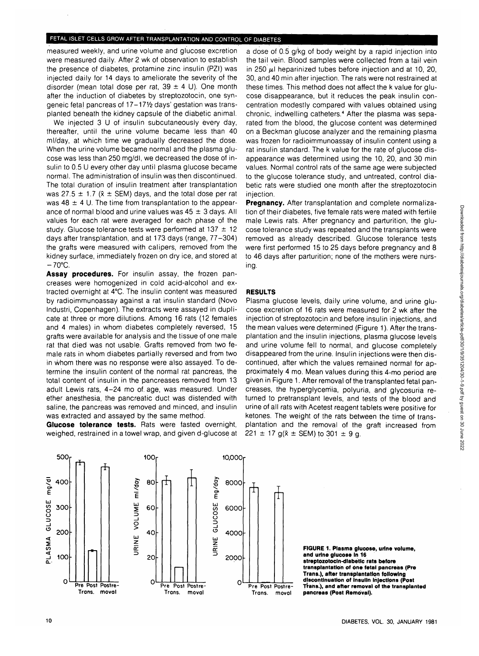measured weekly, and urine volume and glucose excretion were measured daily. After 2 wk of observation to establish the presence of diabetes, protamine zinc insulin (PZI) was injected daily for 14 days to ameliorate the severity of the disorder (mean total dose per rat,  $39 \pm 4$  U). One month after the induction of diabetes by streptozotocin, one syngeneic fetal pancreas of 17-171/2 days' gestation was transplanted beneath the kidney capsule of the diabetic animal.

We injected 3 U of insulin subcutaneously every day, thereafter, until the urine volume became less than 40 ml/day, at which time we gradually decreased the dose. When the urine volume became normal and the plasma glucose was less than 250 mg/dl, we decreased the dose of insulin to 0.5 U every other day until plasma glucose became normal. The administration of insulin was then discontinued. The total duration of insulin treatment after transplantation was 27.5  $\pm$  1.7 ( $\bar{x}$   $\pm$  SEM) days, and the total dose per rat was 48  $\pm$  4 U. The time from transplantation to the appearance of normal blood and urine values was  $45 \pm 3$  days. All values for each rat were averaged for each phase of the study. Glucose tolerance tests were performed at 137  $\pm$  12 days after transplantation, and at 173 days (range, 77-304) the grafts were measured with calipers, removed from the kidney surface, immediately frozen on dry ice, and stored at  $-70^{\circ}$ C.

**Assay procedures.** For insulin assay, the frozen pancreases were homogenized in cold acid-alcohol and extracted overnight at 4°C. The insulin content was measured by radioimmunoassay against a rat insulin standard (Novo Industri, Copenhagen). The extracts were assayed in duplicate at three or more dilutions. Among 16 rats (12 females and 4 males) in whom diabetes completely reversed, 15 grafts were available for analysis and the tissue of one male rat that died was not usable. Grafts removed from two female rats in whom diabetes partially reversed and from two in whom there was no response were also assayed. To determine the insulin content of the normal rat pancreas, the total content of insulin in the pancreases removed from 13 adult Lewis rats, 4-24 mo of. age, was measured. Under ether anesthesia, the pancreatic duct was distended with saline, the pancreas was removed and minced, and insulin was extracted and assayed by the same method.

**Glucose tolerance tests.** Rats were fasted overnight, weighed, restrained in a towel wrap, and given d-glucose at

a dose of 0.5 g/kg.of body weight by a rapid injection into the tail vein. Blood samples were collected from a tail vein in 250  $\mu$ I heparinized tubes before injection and at 10, 20, 30, and 40 min after injection. The rats were not restrained at these times. This method does not affect the k value for glucose disappearance, but it reduces the peak insulin concentration modestly compared with values obtained using chronic, indwelling catheters.4 After the plasma was separated from the blood, the glucose content was determined on a Beckman glucose analyzer and the remaining plasma was frozen for radioimmunoassay of insulin content using a rat insulin standard. The k value for the rate of glucose disappearance was determined using the 10, 20, and 30 min values. Normal control rats of the same age were subjected to the glucose tolerance study, and untreated, control diabetic rats were studied one month after the streptozotocin injection.

**Pregnancy.** After transplantation and complete normalization of their diabetes, five female rats were mated with fertile ma|e Lewis rats. After pregnancy and parturition, the glucose tolerance study was repeated and the transplants were removed as already described. Glucose tolerance tests were first performed 15 to 25 days before pregnancy and 8 to 46 days after parturition; none of the mothers were nursing.

### **RESULTS**

Plasma glucose levels, daily urine volume, and urine glucose excretion of 16 rats were measured for 2 wk after the injection of streptozotocin and before insulin injections, and the mean values were determined (Figure 1). After the transplantation and the insulin injections, plasma glucose levels and urine volume fell to normal, and glucose completely disappeared from the urine. Insulin injections were then discontinued, after which the values remained normal for approximately 4 mo. Mean values during this 4-mo period are given in Figure 1. After removal of the transplanted fetal pancreases, the hyperglycemia, polyuria, and glycosuria returned to pretransplant levels, and tests of the blood and urine of all rats with Acetest reagent tablets were positive for ketones. The weight of the rats between the time of transplantation and the removal of the graft increased from 221  $\pm$  17 g( $\bar{x}$   $\pm$  SEM) to 301  $\pm$  9 g.



**FIGURE 1. Plasma glucose, urine volume, and urine glucose In 16 streptozotocln-dlabetlc rats before transplantation of one fetal pancreas (Pre Trans.), after transplantation following discontinuation of Insulin Injections (Post Trans.), and after removal of the transplanted pancreas (Post Removal).**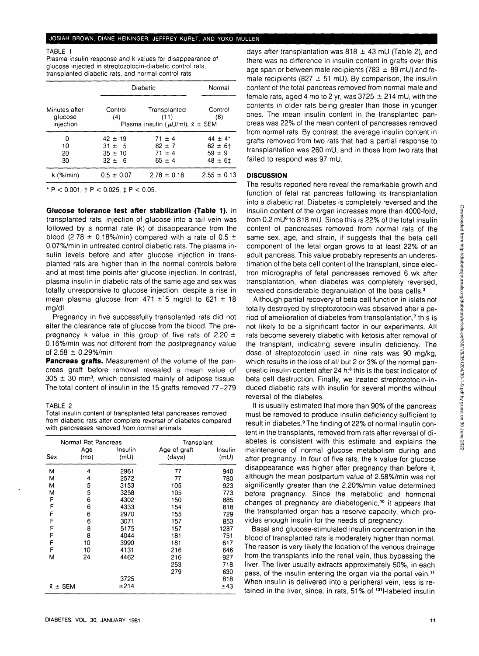# JOSIAH BROWN, DIANE HEININGER, JEFFREY KURET, AND YOKO MULLEN

#### TABLE 1

Plasma insulin response and k values for disappearance of glucose injected in streptozotocin-diabetic control rats, transplanted diabetic rats, and normal control rats

|                                       |                                                        | Diabetic                                                                        |                                                           |
|---------------------------------------|--------------------------------------------------------|---------------------------------------------------------------------------------|-----------------------------------------------------------|
| Minutes after<br>glucose<br>injection | Control<br>(4)                                         | Transplanted<br>(11)<br>Plasma insulin ( $\mu U/ml$ ), $\bar{x} \pm \text{SEM}$ | Control<br>(6)                                            |
| 0<br>10<br>20<br>30                   | $42 \pm 19$<br>$31 \pm 5$<br>$35 \pm 10$<br>$32 \pm 6$ | $71 \pm 4$<br>$82 \pm 7$<br>$71 \pm 4$<br>$65 \pm 4$                            | $44 \pm 4^*$<br>$62 \pm 6$ †<br>$59 \pm 9$<br>$48 \pm 61$ |
| k (%/min)                             | $0.5 \pm 0.07$                                         | $2.78 \pm 0.18$                                                                 | $2.55 \pm 0.13$                                           |

\* P < 0.001, t P < 0.025, **t** P < 0.05.

**Glucose tolerance test after stabilization (Table 1).** In transplanted rats, injection of glucose into a tail vein was followed by a normal rate (k) of disappearance from the blood (2.78  $\pm$  0.18%/min) compared with a rate of 0.5  $\pm$ 0.07%/min in untreated control diabetic rats. The plasma insulin levels before and after glucose injection in transplanted rats are higher than in the normal controls before and at most time points after glucose injection. In contrast, plasma insulin in diabetic rats of the same age and sex was totally unresponsive to glucose injection, despite a rise in mean plasma glucose from  $471 \pm 5$  mg/dl to  $621 \pm 18$ mg/dl.

Pregnancy in five successfully transplanted rats did not alter the clearance rate of glucose from the blood. The prepregnancy k value in this group of five rats of 2.20  $\pm$ 0.16%/min was not different from the postpregnancy value of  $2.58 \pm 0.29\%$ /min.

**Pancreas grafts.** Measurement of the volume of the pancreas graft before removal revealed a mean value of  $305 \pm 30$  mm<sup>3</sup>, which consisted mainly of adipose tissue. The total content of insulin in the 15 grafts removed 77-279

# TABLE 2

Total insulin content of transplanted fetal pancreases removed from diabetic rats after complete reversal of diabetes compared with pancreases removed from normal animals

|                           | Normal Rat Pancreas |                 | Transplant             |                 |
|---------------------------|---------------------|-----------------|------------------------|-----------------|
| Sex                       | Age<br>(mo)         | Insulin<br>(mU) | Age of graft<br>(days) | Insulin<br>(mU) |
| м                         | 4                   | 2961            | 77                     | 940             |
| м                         | 4                   | 2572            | 77                     | 780             |
| М                         | 5                   | 3153            | 105                    | 923             |
| м                         | 5                   | 3258            | 105                    | 773             |
| F                         | 6                   | 4302            | 150                    | 885             |
| F                         | 6                   | 4333            | 154                    | 818             |
| F                         | 6                   | 2970            | 155                    | 729             |
| F                         | 6                   | 3071            | 157                    | 853             |
| F                         | 8                   | 5175            | 157                    | 1287            |
| F                         | 8                   | 4044            | 181                    | 751             |
| F                         | 10                  | 3990            | 181                    | 617             |
| F                         | 10                  | 4131            | 216                    | 646             |
| М                         | 24                  | 4462            | 216                    | 927             |
|                           |                     |                 | 253                    | 718             |
|                           |                     |                 | 279                    | 630             |
|                           |                     | 3725            |                        | 818             |
| ±214<br>$\bar{x} \pm$ SEM |                     |                 | ±43                    |                 |

days after transplantation was  $818 \pm 43$  mU (Table 2), and there was no difference in insulin content in grafts over this age span or between male recipients (783  $\pm$  89 mU) and female recipients (827  $\pm$  51 mU). By comparison, the insulin content of the total pancreas removed from normal male and female rats, aged 4 mo to 2 yr, was  $3725 \pm 214$  mU, with the contents in older rats being greater than those in younger ones. The mean insulin content in the transplanted pancreas was 22% of the mean content of pancreases removed from normal rats. By contrast, the average insulin content in grafts removed from two rats that had a partial response to transplantation was 260 mU, and in those from two rats that failed to respond was 97 mU.

#### **DISCUSSION**

The results reported here reveal the remarkable growth and function of fetal rat pancreas following its transplantation into a diabetic rat. Diabetes is completely reversed and the insulin content of the organ increases more than 4000-fold, from 0.2 mU<sup>6</sup> to 818 mU. Since this is 22% of the total insulin content of pancreases removed from normal rats of the same sex, age, and strain, it suggests that the beta cell component of the fetal organ grows to at least 22% of an adult pancreas. This value probably represents an underestimation of the beta cell content of the transplant, since electron micrographs of fetal pancreases removed 6 wk after transplantation, when diabetes was completely reversed, revealed considerable degranulation of the beta cells.<sup>3</sup>

Although partial recovery of beta cell function in islets not totally destroyed by streptozotocin was observed after a period of amelioration of diabetes from transplantation,<sup>7</sup> this is not likely to be a significant factor in our experiments. All rats become severely diabetic with ketosis after removal of the transplant, indicating severe insulin deficiency. The dose of streptozotocin used in nine rats was 90 mg/kg, which results in the loss of all but 2 or 3% of the normal pancreatic insulin content after 24 h:<sup>8</sup> this is the best indicator of beta cell destruction. Finally, we treated streptozotocin-induced diabetic rats with insulin for several months without reversal of the diabetes.

It is usually estimated that more than 90% of the pancreas must be removed to produce insulin deficiency sufficient to result in diabetes.<sup>9</sup> The finding of 22% of normal insulin content in the transplants, removed from rats after reversal of diabetes is consistent with this estimate and explains the maintenance of normal glucose metabolism during and after pregnancy. In four of five rats, the k value for glucose disappearance was higher after pregnancy than before it, although the mean postpartum value of 2.58%/min was not significantly greater than the 2.20%/min value determined before pregnancy. Since the metabolic and hormonal changes of pregnancy are diabetogenic.<sup>10</sup> it appears that the transplanted organ has a reserve capacity, which provides enough insulin for the needs of pregnancy.

Basal and glucose-stimulated insulin concentration in the blood of transplanted rats is moderately higher than normal. The reason is very likely the location of the venous drainage from the transplants into the renal vein, thus bypassing the liver. The liver usually extracts approximately 50%, in each pass, of the insulin entering the organ via the portal vein.<sup>11</sup> When insulin is delivered into a peripheral vein, less is retained in the liver, since, in rats, 51% of <sup>131</sup>I-labeled insulin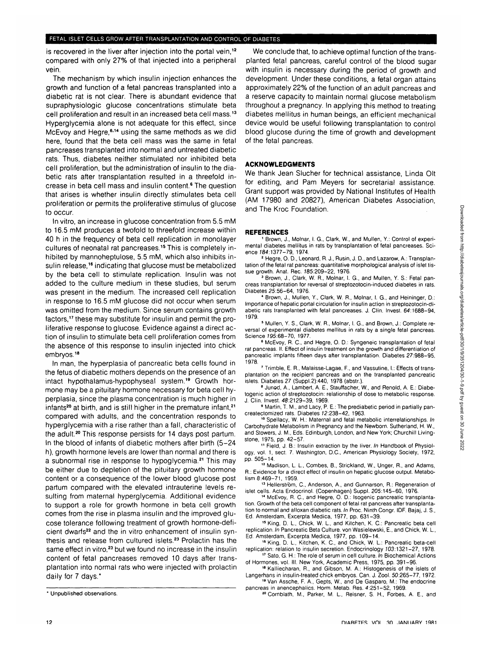is recovered in the liver after injection into the portal vein,<sup>12</sup> compared with only 27% of that injected into a peripheral vein.

The mechanism by which insulin injection enhances the growth and function of a fetal pancreas transplanted into a diabetic rat is not clear. There is abundant evidence that supraphysiologic glucose concentrations stimulate beta cell proliferation and result in an increased beta cell mass.<sup>13</sup> Hyperglycemia alone is not adequate for this effect, since McEvoy and Hegre,<sup>6,14</sup> using the same methods as we did here, found that the beta cell mass was the same in fetal pancreases transplanted into normal and untreated diabetic rats. Thus, diabetes neither stimulated nor inhibited beta cell proliferation, but the administration of insulin to the diabetic rats after transplantation resulted in a threefold increase in beta cell mass and insulin content.<sup>6</sup> The question that arises is whether insulin directly stimulates beta cell proliferation or permits the proliferative stimulus of glucose to occur.

In vitro, an increase in glucose concentration from 5.5 mM to 16.5 mM produces a twofold to threefold increase within 40 h in the frequency of beta cell replication in monolayer cultures of neonatal rat pancreases.<sup>15</sup> This is completely inhibited by mannoheptulose, 5.5 mM, which also inhibits insulin release,<sup>16</sup> indicating that glucose must be metabolized by the beta cell to stimulate replication. Insulin was not added to the culture medium in these studies, but serum was present in the medium. The increased cell replication in response to 16.5 mM glucose did not occur when serum was omitted from the medium. Since serum contains growth factors,<sup>17</sup> these may substitute for insulin and permit the proliferative response to glucose. Evidence against a direct action of insulin to stimulate beta cell proliferation comes from the absence of this response to insulin injected into chick embryos.18

In man, the hyperplasia of pancreatic beta cells found in the fetus of diabetic mothers depends on the presence of an intact hypothalamus-hypophyseal system.<sup>19</sup> Growth hormone may be a pituitary hormone necessary for beta cell hyperplasia, since the plasma concentration is much higher in infants<sup>20</sup> at birth, and is still higher in the premature infant,<sup>21</sup> compared with adults, and the concentration responds to hyperglycemia with a rise rather than a fall, characteristic of the adult.<sup>20</sup> This response persists for 14 days post partum. In the blood of infants of diabetic mothers after birth (5-24 h), growth hormone levels are lower than normal and there is a subnormal rise in response to hypoglycemia.<sup>21</sup> This may be either due to depletion of the pituitary growth hormone content or a consequence of the lower blood glucose post partum compared with the elevated intrauterine levels resulting from maternal hyperglycemia. Additional evidence to support a role for growth hormone in beta cell growth comes from the rise in plasma insulin and the improved glucose tolerance following treatment of growth hormone-deficient dwarfs<sup>22</sup> and the in vitro enhancement of insulin synthesis and release from cultured islets.<sup>23</sup> Prolactin has the same effect in vitro,<sup>23</sup> but we found no increase in the insulin content of fetal pancreases removed 10 days after transplantation into normal rats who were injected with prolactin daily for 7 days.'

We conclude that, to achieve optimal function of the transplanted fetal pancreas, careful control of the blood sugar with insulin is necessary during the period of growth and development. Under these conditions, a fetal organ attains approximately 22% of the function of an adult pancreas and a reserve capacity to maintain normal glucose metabolism throughout a pregnancy. In applying this method to treating diabetes mellitus in human beings, an efficient mechanical device would be useful following transplantation to control blood glucose during the time of growth and development of the fetal pancreas.

### **ACKNOWLEDGMENTS**

We thank Jean Slucher for technical assistance, Linda Olt for editing, and Pam Meyers for secretarial assistance. Grant support was provided by National Institutes of Health (AM 17980 and 20827), American Diabetes Association, and The Kroc Foundation.

#### **REFERENCES**

 Brown, J., Molnar, I. G., Clark, W., and Mullen, Y.: Control of experimental diabetes mellitus in rats by transplantation of fetal pancreases. Science /84:1377-79, 1974. <sup>2</sup>

 Hegre, 0 . D., Leonard, R. J., Rusin, J. D., and Lazarow, A.: Transplantation of the fetal rat pancreas: quantitative morphological analysis of islet tissue growth. Anat. Rec. 185:209-22, 1976.

 Brown, J., Clark, W. R., Molnar, I. G., and Mullen, Y. S.: Fetal pancreas transplantation for reversal of streptozotocin-induced diabetes in rats. Diabetes 25:56-64, 1976.

4 Brown, J., Mullen, Y., Clark, W. R., Molnar, I. G., and Heininger, D.: Importance of hepatic portal circulation for insulin action in streptozotocin-diabetic rats transplanted with fetal pancreases. J. Clin. Invest. 64:1688-94, 1979.

5 Mullen, Y. S., Clark, W. R., Molnar, I. G., and Brown, J.: Complete reversal of experimental diabetes mellitus in rats by a single fetal pancreas.

Science 195:68–70, 1977.<br><sup>6</sup> McEvoy, R. C., and Hegre, O. D.: Syngeneic transplantation of fetal rat pancreas. II. Effect of insulin treatment on the growth and differentiation of pancreatic implants fifteen days after transplantation. Diabetes 27:988-95, 1978.

 Trimble, E. R., Malaisse-Lagae, F., and Vassutine, I.: Effects of transplantation on the recipient pancreas and on the transplanted pancreatic islets. Diabetes  $27$  (Suppl.2):440, 1978 (abstr.).

<sup>8</sup> Junod, A., Lambert, A. E., Stauffacher, W., and Renold, A. E.: Diabetogenic action of streptozotocin: relationship of dose to metabolic response. J. Clin. Invest. 48:2129-39, 1969.

<sup>9</sup> Martin, T. M., and Lacy, P. E.: The prediabetic period in partially pancreatectomized rats. Diabetes 12:238-42, 1963.

<sup>10</sup> Spellacy, W. H.: Maternal and fetal metabolic interrelationships. In Carbohydrate Metabolism in Pregnancy and the Newborn. Sutherland, H. W., and Stowers, J. M., Eds. Edinburgh, London, and New York; Churchill Livingstone, 1975, pp. 42-57.

<sup>11</sup> Field, J. B.: Insulin extraction by the liver. In Handbook of Physiology, vol. 1, sect. 7. Washington, D.C., American Physiology Society, 1972,

pp. 505-14. 12 Madison, L. L, Combes, B., Strickland, W., Unger, R., and Adams, R.: Evidence for a direct effect of insulin on hepatic glucose output. Metabolism 8:469-71, 1959.

13 Hellerström, C., Anderson, A., and Gunnarson, R.: Regeneration of islet cells. Acta Endocrinol. (Copenhagen) Suppl. 205:145-60, 1976. <sup>14</sup> McEvoy, R. C , and Hegre, O. D.: Isogenic pancreatic transplanta-

tion. Growth of the beta cell component of fetal rat pancreas after transplantation to normal and alloxan diabetic rats. In Proc. Ninth Congr. IDF. Bajaj, J. S., Ed. Amsterdam, Excerpta Medica, 1977, pp. 631-39.

<sup>15</sup> King, D. L., Chick, W. L., and Kitchen, K. C.: Pancreatic beta cell replication. In Pancreatic Beta Culture, von Wasielewski, E., and Chick, W. L, Ed. Amsterdam, Excerpta Medica, 1977, pp. 109-14.

<sup>16</sup> King, D. L., Kitchen, K. C., and Chick, W. L.: Pancreatic beta-cell replication: relation to insulin secretion. Endocrinology 103:1321-27, 1978.

<sup>17</sup> Sato, G. H.: The role of serum in cell culture. In Biochemical Actions of Hormones, vol. III. New York, Academic Press, 1975, pp. 391-96.

18 Kalliecharan, R., and Gibson, M. A.: Histogenesis of the islets of Langerhans in insulin-treated chick embryos. Can. J. Zool. 50:265-77, 1972. Van Assche, F. A., Gepts, W., and De Gasparo, M.: The endocrine

pancreas in anencephalics. Horm. Metab. Res. 4:251-52, 1969. Cornblath, M., Parker, M. L, Reisner, S. H., Forbes, A. E., and

<sup>\*</sup> Unpublished observations.